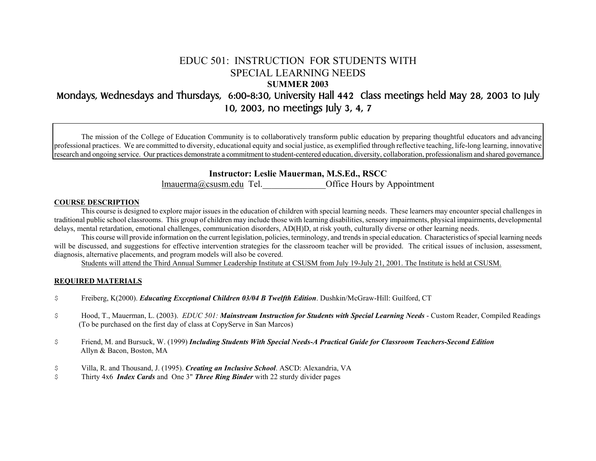# EDUC 501: INSTRUCTION FOR STUDENTS WITH SPECIAL LEARNING NEEDS

**SUMMER 2003** 

# Mondays, Wednesdays and Thursdays, 6:00-8:30, University Hall 442 Class meetings held May 28, 2003 to July 10, 2003, no meetings July 3, 4, 7

The mission of the College of Education Community is to collaboratively transform public education by preparing thoughtful educators and advancing professional practices. We are committed to diversity, educational equity and social justice, as exemplified through reflective teaching, life-long learning, innovative research and ongoing service. Our practices demonstrate a commitment to student-centered education, diversity, collaboration, professionalism and shared governance.

**Instructor: Leslie Mauerman, M.S.Ed., RSCC** 

[lmauerma@csusm.edu](mailto:lmauerma@csusm.edu) Tel. Quite Hours by Appointment

## **COURSE DESCRIPTION**

This course is designed to explore major issues in the education of children with special learning needs. These learners may encounter special challenges in traditional public school classrooms. This group of children may include those with learning disabilities, sensory impairments, physical impairments, developmental delays, mental retardation, emotional challenges, communication disorders, AD(H)D, at risk youth, culturally diverse or other learning needs.

This course will provide information on the current legislation, policies, terminology, and trends in special education. Characteristics of special learning needs will be discussed, and suggestions for effective intervention strategies for the classroom teacher will be provided. The critical issues of inclusion, assessment, diagnosis, alternative placements, and program models will also be covered.

Students will attend the Third Annual Summer Leadership Institute at CSUSM from July 19-July 21, 2001. The Institute is held at CSUSM.

# **REQUIRED MATERIALS**

- \$ Freiberg, K(2000). *Educating Exceptional Children 03/04 B Twelfth Edition*. Dushkin/McGraw-Hill: Guilford, CT
- \$ Hood, T., Mauerman, L. (2003). *EDUC 501: Mainstream Instruction for Students with Special Learning Needs* Custom Reader, Compiled Readings (To be purchased on the first day of class at CopyServe in San Marcos)
- \$ Friend, M. and Bursuck, W. (1999) *Including Students With Special Needs-A Practical Guide for Classroom Teachers-Second Edition* Allyn & Bacon, Boston, MA
- \$ Villa, R. and Thousand, J. (1995). *Creating an Inclusive School*. ASCD: Alexandria, VA
- \$ Thirty 4x6 *Index Cards* and One 3" *Three Ring Binder* with 22 sturdy divider pages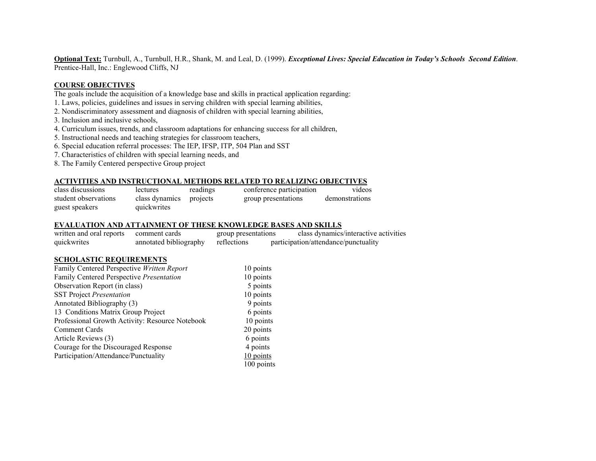**Optional Text:** Turnbull, A., Turnbull, H.R., Shank, M. and Leal, D. (1999). *Exceptional Lives: Special Education in Today's Schools Second Edition*. Prentice-Hall, Inc.: Englewood Cliffs, NJ

## **COURSE OBJECTIVES**

The goals include the acquisition of a knowledge base and skills in practical application regarding:

- 1. Laws, policies, guidelines and issues in serving children with special learning abilities,
- 2. Nondiscriminatory assessment and diagnosis of children with special learning abilities,
- 3. Inclusion and inclusive schools,
- 4. Curriculum issues, trends, and classroom adaptations for enhancing success for all children,
- 5. Instructional needs and teaching strategies for classroom teachers,
- 6. Special education referral processes: The IEP, IFSP, ITP, 504 Plan and SST
- 7. Characteristics of children with special learning needs, and
- 8. The Family Centered perspective Group project

#### **ACTIVITIES AND INSTRUCTIONAL METHODS RELATED TO REALIZING OBJECTIVES**

| class discussions    | lectures       | readings | conference participation | videos         |
|----------------------|----------------|----------|--------------------------|----------------|
| student observations | class dynamics | projects | group presentations      | demonstrations |
| guest speakers       | quickwrites    |          |                          |                |

#### **EVALUATION AND ATTAINMENT OF THESE KNOWLEDGE BASES AND SKILLS**

| written and oral reports | comment cards          | group presentations | class dynamics/interactive activities |
|--------------------------|------------------------|---------------------|---------------------------------------|
| quickwrites              | annotated bibliography | reflections         | participation/attendance/punctuality  |

#### **SCHOLASTIC REQUIREMENTS**

| Family Centered Perspective Written Report      | 10 points  |
|-------------------------------------------------|------------|
| Family Centered Perspective Presentation        | 10 points  |
| Observation Report (in class)                   | 5 points   |
| <b>SST Project Presentation</b>                 | 10 points  |
| Annotated Bibliography (3)                      | 9 points   |
| 13 Conditions Matrix Group Project              | 6 points   |
| Professional Growth Activity: Resource Notebook | 10 points  |
| Comment Cards                                   | 20 points  |
| Article Reviews (3)                             | 6 points   |
| Courage for the Discouraged Response            | 4 points   |
| Participation/Attendance/Punctuality            | 10 points  |
|                                                 | 100 points |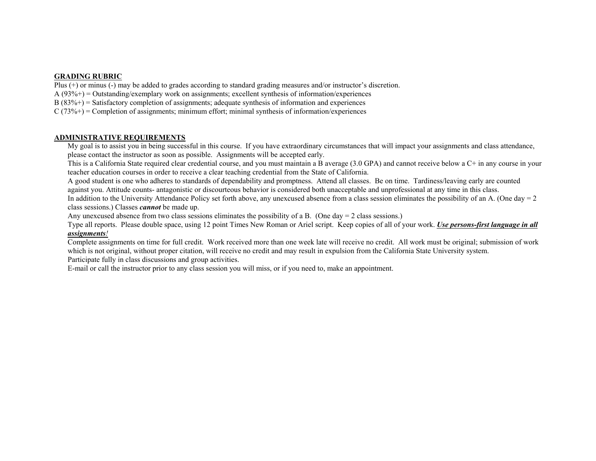# **GRADING RUBRIC**

Plus (+) or minus (-) may be added to grades according to standard grading measures and/or instructor's discretion.

 $A(93%)$  = Outstanding/exemplary work on assignments; excellent synthesis of information/experiences

 $B(83\%+)$  = Satisfactory completion of assignments; adequate synthesis of information and experiences

 $C(73\%+)$  = Completion of assignments; minimum effort; minimal synthesis of information/experiences

### **ADMINISTRATIVE REQUIREMENTS**

 My goal is to assist you in being successful in this course. If you have extraordinary circumstances that will impact your assignments and class attendance, please contact the instructor as soon as possible. Assignments will be accepted early.

 This is a California State required clear credential course, and you must maintain a B average (3.0 GPA) and cannot receive below a C+ in any course in your teacher education courses in order to receive a clear teaching credential from the State of California.

 A good student is one who adheres to standards of dependability and promptness. Attend all classes. Be on time. Tardiness/leaving early are counted against you. Attitude counts- antagonistic or discourteous behavior is considered both unacceptable and unprofessional at any time in this class.

In addition to the University Attendance Policy set forth above, any unexcused absence from a class session eliminates the possibility of an A. (One day  $= 2$ ) class sessions.) Classes *cannot* be made up.

Any unexcused absence from two class sessions eliminates the possibility of a B. (One day  $= 2$  class sessions.)

 Type all reports. Please double space, using 12 point Times New Roman or Ariel script. Keep copies of all of your work. *Use persons-first language in all assignments!*

 Complete assignments on time for full credit. Work received more than one week late will receive no credit. All work must be original; submission of work which is not original, without proper citation, will receive no credit and may result in expulsion from the California State University system. Participate fully in class discussions and group activities.

E-mail or call the instructor prior to any class session you will miss, or if you need to, make an appointment.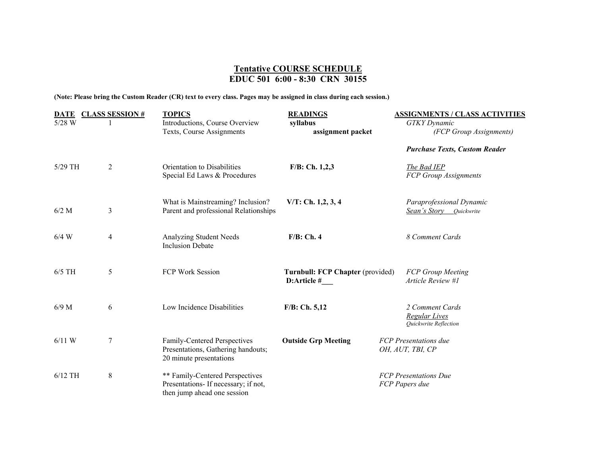# **Tentative COURSE SCHEDULE EDUC 501 6:00 - 8:30 CRN 30155**

**(Note: Please bring the Custom Reader (CR) text to every class. Pages may be assigned in class during each session.)**

| <b>DATE</b> | <b>CLASS SESSION#</b> | <b>TOPICS</b>                                                                                             | <b>READINGS</b>                  | <b>ASSIGNMENTS / CLASS ACTIVITIES</b>   |
|-------------|-----------------------|-----------------------------------------------------------------------------------------------------------|----------------------------------|-----------------------------------------|
| 5/28 W      |                       | Introductions, Course Overview                                                                            | syllabus                         | <b>GTKY</b> Dynamic                     |
|             |                       | Texts, Course Assignments                                                                                 | assignment packet                | (FCP Group Assignments)                 |
|             |                       |                                                                                                           |                                  | <b>Purchase Texts, Custom Reader</b>    |
| $5/29$ TH   | $\overline{2}$        | Orientation to Disabilities                                                                               | $F/B$ : Ch. 1,2,3                | The Bad IEP                             |
|             |                       | Special Ed Laws & Procedures                                                                              |                                  | FCP Group Assignments                   |
|             |                       | What is Mainstreaming? Inclusion?                                                                         | $V/T$ : Ch. 1,2, 3, 4            | Paraprofessional Dynamic                |
| $6/2$ M     | 3                     | Parent and professional Relationships                                                                     |                                  | <b>Sean's Story</b> Quickwrite          |
| $6/4$ W     | 4                     | <b>Analyzing Student Needs</b>                                                                            | $F/B$ : Ch. 4                    | 8 Comment Cards                         |
|             |                       | <b>Inclusion Debate</b>                                                                                   |                                  |                                         |
| $6/5$ TH    | 5                     | FCP Work Session                                                                                          | Turnbull: FCP Chapter (provided) | <b>FCP Group Meeting</b>                |
|             |                       |                                                                                                           | D:Article #                      | Article Review #1                       |
|             |                       |                                                                                                           |                                  |                                         |
| $6/9$ M     | 6                     | Low Incidence Disabilities                                                                                | $F/B$ : Ch. 5,12                 | 2 Comment Cards<br><b>Regular Lives</b> |
|             |                       |                                                                                                           |                                  | Quickwrite Reflection                   |
| $6/11$ W    | 7                     | Family-Centered Perspectives                                                                              | <b>Outside Grp Meeting</b>       | <b>FCP</b> Presentations due            |
|             |                       | 20 minute presentations                                                                                   |                                  |                                         |
| $6/12$ TH   | $\,8\,$               | ** Family-Centered Perspectives                                                                           |                                  | <b>FCP</b> Presentations Due            |
|             |                       |                                                                                                           |                                  |                                         |
|             |                       | Presentations, Gathering handouts;<br>Presentations- If necessary; if not,<br>then jump ahead one session |                                  | OH, AUT, TBI, CP<br>FCP Papers due      |